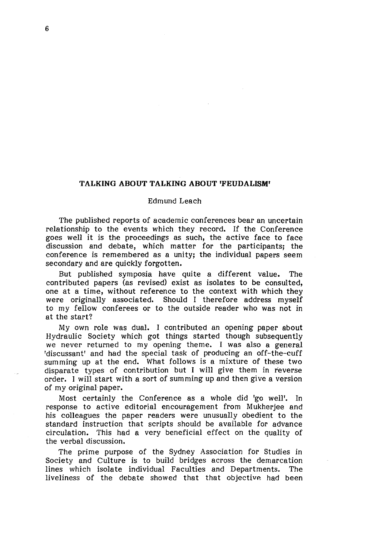## **TALKING ABOUT TALKING ABOUT 'FEUDALISM'**

## Edmund Leach

The published reports of academic conferences bear an uncertain relationship to the events which they record. If the Conference goes well it is the proceedings as such, the active face to face discussion and debate, which matter for the participants; the conference is remembered as a unity; the individual papers seem secondary and are quickly forgotten.

But published symposia have quite a different value. The contributed papers (as revised) exist as isolates to be consulted, one at a time, without reference to the context with which they were originally associated. Should I therefore address myself to my fellow conferees or to the outside reader who was not in at the start?

My own role was dual. I contributed an opening paper about Hydraulic Society which got things started though subsequently we never returned to my opening theme. I was also a general 'discussant' and had the special task of producing an off-the-cuff summing up at the end. What follows is a mixture of these two disparate types of contribution but I will give them in reverse order. I will start with a sort of summing up and then give a version of my original paper.

Most certainly the Conference as a whole did 'go well'. In response to active editorial encouragement from Mukherjee and his colleagues the paper readers were unusually obedient to the standard instruction that scripts should be available for advance circulation. This had a very beneficial effect on the quality of the verbal discussion.

The prime purpose of the Sydney Association for Studies in Society and Culture is to build bridges across the demarcation lines which isolate individual Faculties and Departments. The liveliness of the debate showed that that objective had been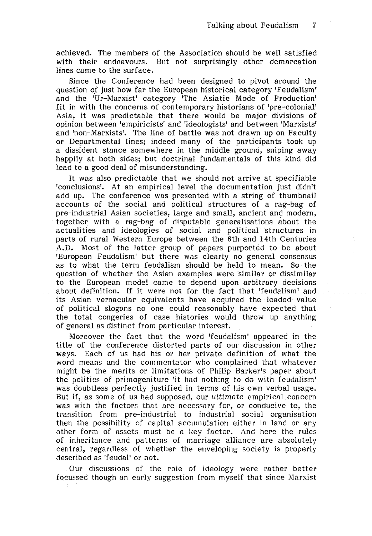achieved. The members of the Association should be well satisfied with their endeavours. But not surprisingly other demarcation lines came to the surface.

Since the Conference had been designed to pivot around the question of just how far the European historical category 'Feudalism' and the 'Ur-Marxist' category 'The Asiatic Mode of Production' fit in with the concerns of contemporary historians of 'pre-colonial' Asia, it was predictable that there would be major divisions of opinion between 'empiricists' and 'ideologists' and between 'Marxists' and 'non-Marxists'. The line of battle was not drawn up on Faculty or Departmental lines; indeed many of the participants took up a dissident stance somewhere in the middle ground, sniping away happily at both sides; but doctrinal fundamentals of this kind did lead to a good deal of misunderstanding.

It was also predictable that we should not arrive at specifiable 'conclusions'. At an empirical level the documentation just didn't add up. The conference was presented with a string of thumbnail accounts of the social and political structures of a rag-bag of pre-industrial Asian societies, large and small, ancient and modern, together with a rag-bag of disputable generalisations about the actualities and ideologies of social and political structures in parts of rural Western Europe between the 6th and 14th Centuries A.D. Most of the latter group of papers purported to be about 'European Feudalism' but there was clearly no general consensus as to what the term feudalism should be held to mean. So the question of whether the Asian examples were similar or dissimilar to the European model came to depend upon arbitrary decisions about definition. If it were not for the fact that 'feudalism' and its Asian vernacular equivalents have acquired the loaded value of political slogans no one could reasonably have expected that the total congeries of case histories would throw up anything of general as distinct from particular interest.

Moreover the fact that the word 'feudalism' appeared in the title of the conference distorted parts of our discussion in other ways. Each of us had his or her private definition of what the word means and the commentator who complained that whatever might be the merits or limitations of Philip Barker's paper about the politics of primogeniture 'it had nothing to do with feudalism' was doubtless perfectly justified in terms of his own verbal usage. But if, as some of us had supposed, our *ultimate* empirical concern was with the factors that are necessary for, or conducive to, the transition from pre-industrial to industrial social organisation then the possibility of capital accumulation either in land or any other form of assets must be a key factor. And here the rules of inheritance and patterns of marriage alliance are absolutely central, regardless of whether the enveloping society is properly described as 'feudal' or not.

Our discussions of the role of ideology were rather better focussed though an early suggestion from myself that since Marxist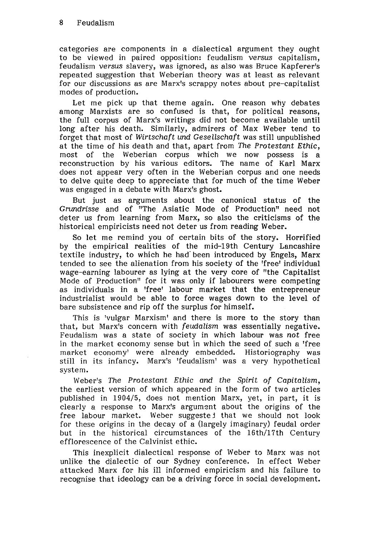categories are components in a dialectical argument they ought to be viewed in paired opposition: feudalism *versus* capitalism, feudalism *versus* slavery, was ignored, as also was Bruce Kapferer's repeated suggestion that Weberian theory was at least as relevant for our discussions as are Marx's scrappy notes about pre-capitalist modes of production.

Let me pick up that theme again. One reason why debates among Marxists are so confused is that, for political reasons, the full corpus of Marx's writings did not become available until long after his death. Similarly, admirers of Max Weber tend to forget that most of *Wirtschaft und Gesellschaft* was still unpublished at the time of his death and that, apart from *The Protestant Ethic,*  most of the Weberian corpus which we now possess is a reconstruction by his various editors. The name of Karl Marx does not appear very often in the Weberian corpus and one needs to delve quite deep to appreciate that for much of the time Weber was engaged in a debate with Marx's ghost.

But just as arguments about the canonical status of the *Grundrisse* and of "The Asiatic Mode of Production" need not deter us from learning from Marx, so also the criticisms of the historical empiricists need not deter us from reading Weber.

So let me remind you of certain bits of the story. Horrified by the empirical realities of the mid-19th Century Lancashire textile industry, to which he had been introduced by Engels, Marx tended to see the alienation from his society of the 'free' individual wage-earning labourer as lying at the very core of "the Capitalist Mode of Production" for it was only if labourers were competing as individuals in a 'free' labour market that the entrepreneur industrialist would be able to force wages down to the level of bare subsistence and rip off the surplus for himself.

This is 'vulgar Marxism' and there is more to the story than that, but Marx's concern with *feudalism* was essentially negative. Feudalism was a state of society in which labour was *not* free in the market economy sense but in which the seed of such a 'free market economy' were already embedded. Historiography was still in its infancy. Marx's 'feudalism' was a very hypothetical system.

Weber's *The Protestant Ethic and the Spirit of Capitalism,*  the earliest version of which appeared in the form of two articles published in 1904/5, does not mention Marx, yet, in part, it is clearly a response to Marx's argument about the origins of the free labour market. Weber suggested that we should not look for these origins in the decay of a (largely imaginary) feudal order but in the historical circumstances of the 16th/17th Century efflorescence of the Calvinist ethic.

This inexplicit dialectical response of Weber to Marx was not unlike the dialectic of our Sydney conference. In effect Weber attacked Marx for his ill informed empiricism and his failure to recognise that ideology can be a driving force in social development.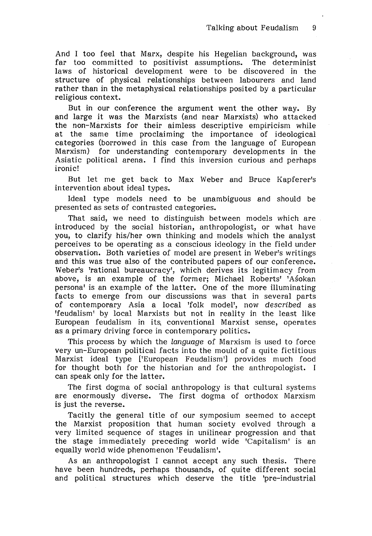And I too feel that Marx, despite his Hegelian background, was far too committed to positivist assumptions. The determinist laws of historical development were to be discovered in the structure of physical relationships between labourers and land rather than in the metaphysical relationships posited by a particular religious context.

But in our conference the argument went the other way. By and large it was the Marxists (and near Marxists) who attacked the non-Marxists for their aimless descriptive empiricism while at the same time proclaiming the importance of ideological categories (borrowed in this case from the language of European Marxism) for understanding contemporary developments in the Asiatic political arena. I find this inversion curious and perhaps ironic!

But let me get back to Max Weber and Bruce Kapferer's intervention about ideal types.

Ideal type models need to be unambiguous and should be presented as sets of contrasted categories.

That said, we need to distinguish between models which are introduced by the social historian, anthropologist, or what have you, to clarify his/her own thinking and models which the analyst perceives to be operating as a conscious ideology in the field under observation. Both varieties of model are present in Weber's writings and this was true also of the contributed papers of our conference. Weber's 'rational bureaucracy', which derives its legitimacy from above, is an example of the former; Michael Roberts' 'Asokan persona' is an example of the latter. One of the more illuminating facts to emerge from our discussions was that in several parts of contemporary Asia a local 'folk model', now described as 'feudalism' by local Marxists but not in reality in the least like European feudalism in its. conventional Marxist sense, operates as a primary driving force in contemporary politics.

This process by which the language of Marxism is used to force very un-European political facts into the mould of a quite fictitious Marxist ideal type ['European Feudalism'] provides much food for thought both for the historian and for the anthropologist. I can speak only for the latter.

The first dogma of social anthropology is that cultural systems are enormously diverse. The first dogma of orthodox Marxism is just the reverse.

Tacitly the general title of our symposium seemed to accept the Marxist proposition that human society evolved through a very limited sequence of stages in unilinear progression and that the stage immediately preceding world wide 'Capitalism' is an equally world wide phenomenon 'Feudalism'.

As an anthropologist I cannot accept any such thesis. There have been hundreds, perhaps thousands, of quite different social and political structures which deserve the title 'pre-industrial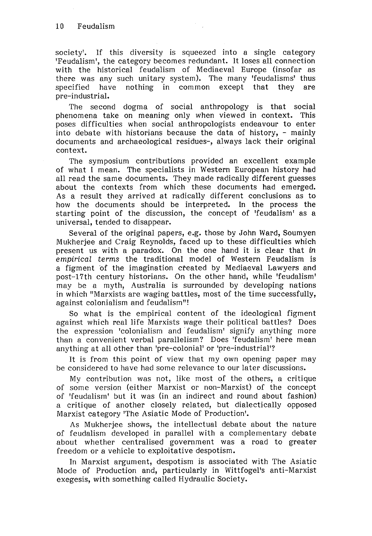society'. If this diversity is squeezed into a single category 'Feudalism', the category becomes redundant. It loses all connection with the historical feudalism of Mediaeval Europe (insofar as there was any such unitary system). The many 'feudalisms' thus specified have nothing in common except that they are pre-industrial.

The second dogma of social anthropology is that social phenomena take on meaning only when viewed in context. This poses difficulties when social anthropologists endeavour to enter into debate with historians because the data of history,  $-$  mainly documents and archaeological residues-, always lack their original context.

The symposium contributions provided an excellent example of what I mean. The specialists in Western European history had all read the same documents. They made radically different guesses about the contexts from which these documents had emerged. As a result they arrived at radically different conclusions as to how the documents should be interpreted. In the process the starting point of the discussion, the concept of 'feudalism' as a universal, tended to disappear.

Several of the original papers, e.g. those by John Ward, Soumyen Mukherjee and Craig Reynolds, faced up to these difficulties which present us with a paradox. On the one hand it is clear that in *empirical terms* the traditional model of Western Feudalism is a figment of the imagination created by Mediaeval Lawyers and post-17th century historians. On the other hand, while 'feudalism' may be a myth, Australia is surrounded by ·developing nations in which "Marxists are waging battles, most of the time successfully, against colonialism and feudalism"!

So what is the empirical content of the ideological figment against which real life Marxists wage their political battles? Does the expression 'colonialism and· feudalism' signify anything more than a convenient verbal parallelism? Does 'feudalism' here mean anything at all other than 'pre-colonial' or 'pre-industrial'?

It is from this point of view that my own opening paper may be considered to have had some relevance to our later discussions.

My contribution was not, like most of the others, a critique of some version (either Marxist or non-Marxist) of the concept of 'feudalism' but it was (in an indirect and round about fashion) a critique of another closely related, but dialectically opposed Marxist category 'The Asiatic Mode of Production'.

As Mukherjee shows, the intellectual debate about the nature of feudalism developed in parallel with a complementary debate about whether centralised government was a road to greater freedom or a vehicle to exploitative despotism.

In Marxist argument, despotism is associated with The Asiatic Mode of Production and, particularly in Wittfogel's anti-Marxist exegesis, with something called Hydraulic Society.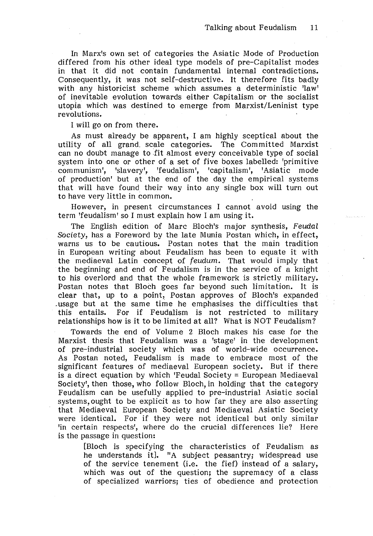In Marx's own set of categories the Asiatic Mode of Production differed from his other ideal type models of pre-Capitalist modes in that it did not contain fundamental internal contradictions. Consequently, it was not self-destructive. It therefore fits badly with any historicist scheme which assumes a deterministic 'law' of inevitable evolution towards either Capitalism or the socialist utopia which was destined to emerge from Marxist/Leninist type revolutions.

I will go on from there.

As must already be apparent, I am highly sceptical about the utility of all grand. scale categories. The Committed Marxist can no doubt manage to fit almost every conceivable type of social system into one or other of a set of five boxes labelled: 'primitive communism', 'slavery', 'feudalism', 'capitalism', 'Asiatic mode of production' but at the end of the day the empirical systems that will have found their way into any single box will turn out to have very little in common.

However, in present circumstances I cannot avoid using the term 'feudalism' so I must explain how I am using it.

The English edition of Marc Bloch's major synthesis, Feudal *Society,* has a Foreword by the late Munia Postan which, in effect, warns us to be cautious. Postan notes that the main tradition in European writing about Feudalism has been to equate it with the mediaeval Latin concept of feudum. That would imply that the beginning and end of Feudalism is in the service of a knight to his overlord and that the whole framework is strictly military. Postan notes that Bloch goes far beyond such limitation. It is clear that, up to a point, Postan approves of Bloch's expanded .usage but at the same time he emphasises the difficulties that this entails. For if Feudalism is not restricted to military relationships how is it to be limited at all? What is NOT Feudalism?

Towards the end of Volume 2 Bloch makes his case for the Marxist thesis that Feudalism was a 'stage' in the development of .pre-industrial society which was of world-wide occurrence. As Postan noted, Feudalism is made to embrace most of the significant features of mediaeval European society. But if there is a direct equation by which 'Feudal Society = European Mediaeval Society', then those, who follow Bloch, in holding that the category Feudalism can be usefully applied to pre-industrial Asiatic social systems, ought to be explicit as to how far they are also asserting that Mediaeval European Society and Mediaeval Asiatic Society were identical. For if they were not identical but only similar 'in certain respects', where do the crucial differences lie? Here is the passage in question:

[Bloch is specifying the characteristics of Feudalism as he understands it]. "A subject peasantry; widespread use of the service tenement (i.e. the fief) instead of a salary, which was out of the question; the supremacy of a class of specialized warriors; ties of obedience and protection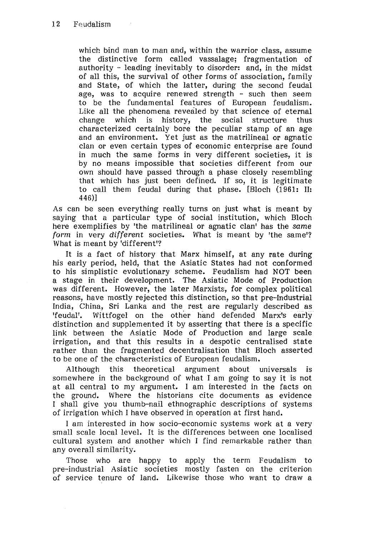which bind man to man and, within the warrior class, assume the distinctive form called vassalage; fragmentation of authority - leading inevitably to disorder: and, in the midst of all this, the survival of other forms of association, family and State, of which the latter, during the second feudal age, was to acquire renewed strength - such then seem to be the fundamental features of European feudalism. Like all the phenomena revealed by that science of eternal change which is history, the social structure thus characterized certainly bore the peculiar stamp of an age and an environment. Yet just as the matrilineal or agnatic clan or even certain types of economic enterprise are found in much the same forms in very different societies, it is by no means impossible that societies different from our own should have passed through a phase closely resembling that which has just been defined. If so, it is legitimate to call them feudal during that phase. [Bloch (1961: II: 446)]

As can be seen everything really turns on just what is meant by saying that a particular type of social institution, which Bloch here exemplifies by 'the matrilineal or agnatic clan' has the *same form* in very *different* societies. What is meant by 'the same'? What is meant by 'different'?

It is a fact of history that Marx himself, at any rate during his early period, held, that the Asiatic States had not conformed to his simplistic evolutionary scheme. Feudalism had NOT been a stage in their development. The Asiatic Mode of Production was different. However, the later Marxists, for complex political reasons, have mostly rejected this distinction, so that pre-Industrial India, China, Sri Lanka and the rest are regularly described as 'feudal'. Wittfogel on the other hand defended Marx's early distinction and supplemented it by asserting that there is a specific link between the Asiatic Mode of Production and large scale irrigation, and that this results in a despotic centralised state rather than the fragmented decentralisation that Bloch asserted to be one of the characteristics of European feudalism.

Although this theoretical argument about universals is somewhere in the background of what I am going to say it is not at all central to my argument. I am interested in the facts on the ground. Where the historians cite documents as evidence I shall give you thumb-nail ethnographic descriptions of systems of irrigation which I have observed in operation at first hand.

I am interested in how socio-economic systems work at a very small scale local level. It is the differences between one localised cultural system and another which I find remarkable rather than any overall similarity.

Those who are happy to apply the term Feudalism to pre-industrial Asiatic societies mostly fasten on the criterion of service tenure of land. Likewise those who want to draw a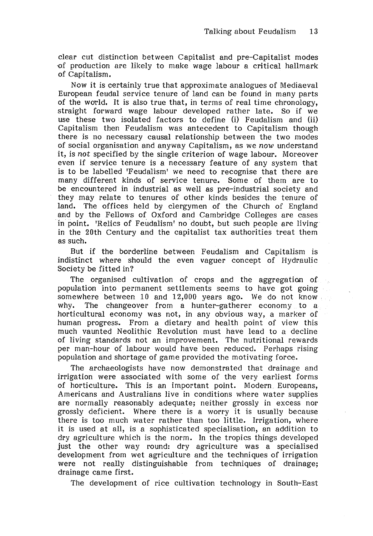clear cut distinction between Capitalist and pre-Capitalist modes -of production are likely to make wage labour a critical hallmark of Capitalism.

Now it is certainly true that approximate analogues of Mediaeval European feudal service tenure of land can be found in many parts of the world. It is also true that, in terms of real time chronology, straight forward wage labour developed rather late. So if we use these two isolated factors to define (i) Feudalism and (ii) Capitalism then Feudalism was antecedent to Capitalism though there is no necessary causal relationship between the two modes of social organisation and anyway Capitalism, as we *now* understand it, is *not* specified by the single criterion of wage labour. Moreover even if service tenure is a necessary feature of any system that is to be labelled 'Feudalism' we need to recognise that there are many different kinds of service tenure. Some of them are to be encountered in industrial as well as pre-industrial society and they may relate to tenures of other kinds besides the tenure of land. The offices held by clergymen of the Church of England and by the Fellows of Oxford and Cambridge Colleges are cases in point. 'Relics of Feudalism' no doubt, but such people are living in the 20th Century and the capitalist tax authorities treat them as such.

But if the borderline between Feudalism and Capitalism is indistinct where should the even vaguer concept of Hydraulic Society be fitted in?

The organised cultivation of crops and the aggregation of population into permanent settlements seems to have got going somewhere between 10 and 12,000 years ago. We do not know why. The changeover from a hunter-gatherer economy to a horticultural economy was not, in any obvious way, a marker of human progress. From a dietary and health point of view this much vaunted Neolithic Revolution must have lead to a decline of living standards not an improvement. The nutritional rewards per man-hour of labour would have been reduced. Perhaps rising population and shortage of game provided the motivating force.

The archaeologists have now demonstrated that drainage and irrigation were associated with some of the very earliest forms of horticulture. This is an important point. Modern Europeans, Americans and Australians live in conditions where water supplies are normally reasonably adequate; neither grossly in excess nor grossly deficient. Where there is a worry it is usually because there is too much water rather than too little. Irrigation, where it is used at all, is a sophisticated specialisation, an addition to dry agriculture which is the norm. In the tropics things developed just the other way round: dry agriculture was a specialised development from wet agriculture and the techniques of irrigation were not really distinguishable from techniques of drainage; drainage came first.

The development of rice cultivation technology in South-East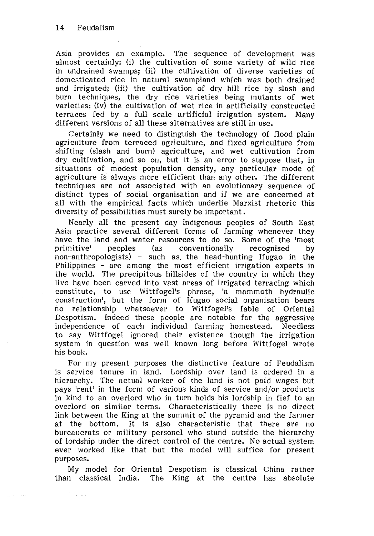Asia provides an example. The sequence of development was almost certainly: (i) the cultivation of some variety of wild rice in undrained swamps; (ii) the cultivation of diverse varieties of domesticated rice in natural swampland which was both drained and irrigated; (iii) the cultivation of dry hill rice by slash and burn techniques, the dry rice varieties being mutants of wet varieties; (iv) the cultivation of wet rice in artificially constructed terraces fed by a full scale artificial irrigation system. Many different versions of all these alternatives are still in use.

Certainly we need to distinguish the technology of flood plain agriculture from terraced agriculture, and fixed agriculture from shifting (slash and burn) agriculture, and wet cultivation from dry cultivation, and so on, but it is an error to suppose that, in situations of modest population density, any particular mode of agriculture is always more efficient than any other. The different techniques are not associated with an evolutionary sequence of distinct types of social organisation and if we are concerned at all with the empirical facts which underlie Marxist rhetoric this diversity of possibilities must surely be important.

Nearly all the present day indigenous peoples of South East Asia practice several different forms of farming whenever they have the land and water resources to do so. Some of the 'most<br>primitive' peoples (as conventionally recognised by primitive' peoples (as conventionally recognised by non-anthropologists) - such as. the head-hunting Ifugao in the Philippines - are among the most efficient irrigation experts in the world. The precipitous hillsides of the country in which they live have been carved into vast areas of irrigated terracing which constitute, to use Wittfogel's phrase, 'a mammoth hydraulic construction', but the form of Ifugao social organisation bears no relationship whatsoever to Wittfogel's fable of Oriental Despotism. Indeed these people are notable for the aggressive independence of each individual farming homestead. Needless to say Wittfogel ignored their existence though the irrigation system in question was well known long before Wittfogel wrote his book.

For my present purposes the distinctive feature of Feudalism is service tenure in land. Lordship over land is ordered in a hierarchy. The actual worker of the land is not paid wages but pays 'rent' in the form of various kinds of service and/or products in kind to an overlord who in turn holds his lordship in fief to an overlord on similar terms. Characteristically there is no direct link between the King at the summit of the pyramid and the farmer at the bottom. It is also characteristic that there are no bureaucrats or military personel who stand outside the hierarchy of lordship under the direct control of the centre. No actual system ever worked like that but the model will suffice for present purposes.

My model for Oriental Despotism is classical China rather than classical India. The King at the centre has absolute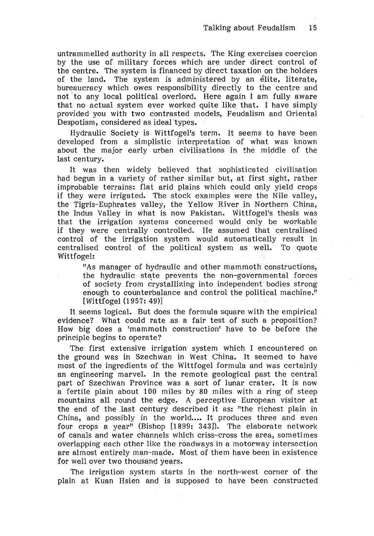untrammelled authority in all respects. The King exercises coercion by the use of military forces which are under direct control of the centre. The system is financed by direct taxation on the holders of the land. The system is administered by an élite, literate, bureaucracy which owes responsibility directly to the centre and not to any local political overlord. Here again I am fully aware that no actual system ever worked quite like that. I have simply provided you with two contrasted models, Feudalism and Oriental Despotism, considered as ideal types.

Hydraulic Society is Wittfogel's term. It seems to have been developed from a simplistic interpretation of what was known about the major early urban civilisations in the middle of the last century.

It was then widely believed that sophisticated civilisation had begun in a variety of rather similar but, at first sight, rather improbable terrains: flat arid plains which could only yield crops if they were irrigated. The stock examples were the Nile valley, the Tigris-Euphrates valley, the Yellow River in Northern China, the Indus Valley in what is now Pakistan. Wittfogel's thesis was that the irrigation systems concerned would only be workable if they were centrally controlled. He assumed that centralised control of the irrigation system would automatically result in centralised control of the political system as well. To quote Wittfogel:

"As manager of hydraulic and other mammoth constructions, the hydraulic state prevents the non-governmental forces of society from crystallizing into independent bodies strong enough to counterbalance and control the political machine." [Wittfogel (1957: 49)]

It seems logical. But does the formula square with the empirical evidence? What could rate as a fair test of such a proposition? How big does a 'mammoth construction' have to be before the principle begins to operate?

The first extensive irrigation system which I encountered on the ground was in Szechwan in West China. It seemed to have most of the ingredients of the Wittfogel formula and was certainly an engineering marvel. In the remote geological past the central part of Szechwan Province was a sort of lunar crater. It is now a fertile plain about 100 miles by 80 miles with a ring of steep mountains all round the edge. A perceptive European visitor at the end of the last century described it as: "the richest plain in China, and possibly in the world.... It produces three and even four crops a year" (Bishop [1899: 343]). The elaborate network of canals and water channels which criss-cross the area, sometimes overlapping each other like the roadways in a motorway intersection are almost entirely man-made. Most of them have been in existence for well over two thousand years.

The irrigation system starts in the north-west corner of the plain at Kuan Hsien and is supposed to have been constructed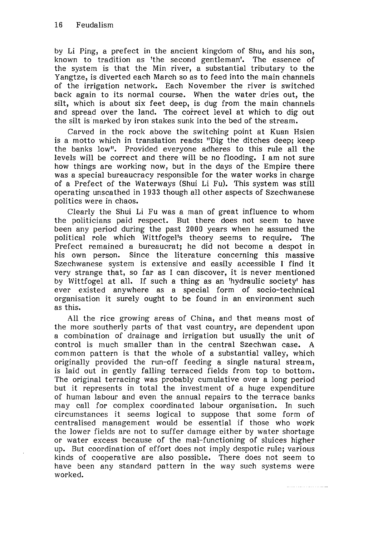by Li Ping, a prefect in the ancient kingdom of Shu, and his son, known to tradition as 'the second gentleman'. The essence of the system is that the Min river, a substantial tributary to the Yangtze, is diverted each March so as to feed into the main channels of the irrigation network. Each November the river is switched back again to its normal course. When the water dries out, the silt, which is about six feet deep, is dug from the main channels and spread over the land. The correct level at which to dig out the silt is marked by iron stakes sunk into the bed of the stream.

Carved in the rock above the switching point at Kuan Hsien is a motto which in translation reads: "Dig the ditches deep; keep the banks low". Provided everyone adheres to this rule all the levels will be correct and there will be no flooding. I am not sure how things are working now, but in the days of the Empire there was a special bureaucracy responsible for the water works in charge of a Prefect of the Waterways (Shui Li Fu). This system was still operating unscathed in 1933 though all other aspects of Szechwanese politics were in chaos.

Clearly the Shui Li Fu was a man of great influence to whom the politicians paid respect. But there does not seem to have been any period during the past 2000 years when he assumed the political role which Wittfogel's theory seems to require. The Prefect remained a bureaucrat; he did not become a despot in his own person. Since the literature concerning this massive Szechwanese system is extensive and easily accessible I find it very strange that, so far as I can discover, it is never mentioned by Wittfogel at all. If such a thing as an 'hydraulic society' has ever existed anywhere as a special form of socio-technical organisation it surely ought to be found in an environment such as this.

All the rice growing areas of China, and that means most of the more southerly parts of that vast country, are dependent upon a combination of drainage and irrigation but usually the unit of control is much smaller than in the central Szechwan case. A common pattern is that the whole of a substantial valley, which originally provided the run-off feeding a single natural stream, is laid out in gently falling terraced fields from top to bottom. The original terracing was probably cumulative over a long period but it represents in total the investment of a huge expenditure of human labour and even the annual repairs to the terrace banks may call for complex coordinated labour organisation. In such circumstances it seems logical to suppose that some form of centralised management would be essential if those who work the lower fields are not to suffer damage either by water shortage or water excess because of the mal-functioning of sluices higher up. But coordination of effort does not imply despotic rule; various kinds of cooperative are also possible. There does not seem to have been any standard pattern in the way such systems were worked.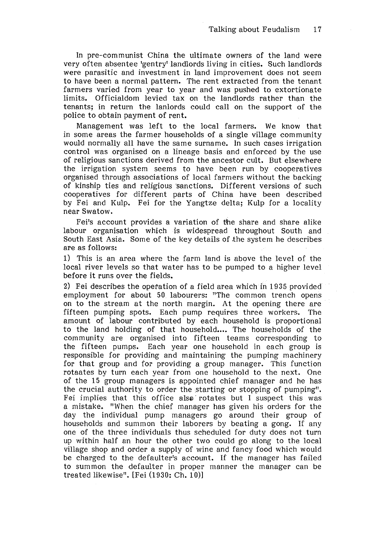In pre-communist China the ultimate owners of the land were very often absentee 'gentry' landlords living in cities. Such landlords were parasitic and investment in land improvement does not seem to have been a normal pattern. The rent extracted from the tenant farmers varied from year to year and was pushed to extortionate limits. Officialdom levied tax on the landlords rather than the tenants; in return the lanlords could call on the support of the police to obtain payment of rent.

Management was left to the local farmers. We know that in some areas the farmer households of a single village community would normally all have the same surname. In such cases irrigation control was organised on a lineage basis and enforced by the use of religious sanctions derived from the ancestor cult. But elsewhere the irrigation system seems to have been run by cooperatives organised through associations of local farmers without the backing of kinship ties and religious sanctions. Different versions of such cooperatives for different parts of China have been described by Fei and Kulp. Fei for the Yangtze delta; Kulp for a locality near Swatow.

Fei's account provides a variation of the share and share alike labour organisation which is widespread throughout South and South East Asia. Some of the key details of the system he describes are as follows:

1) This is an area where the farm land is above the level of the local river levels so that water has to be pumped to a higher level before it runs over the fields.

2) Fei describes the operation of a field area which in 1935 provided employment for about 50 labourers: "The common trench opens on to the stream at the north margin. At the opening there are fifteen pumping spots. Each pump requires three workers. The amount of labour contributed by each household is proportional to the land holding of that household.... The households of the community are organised into fifteen teams corresponding to the fifteen pumps. Each year one household in each group is responsible for providing and maintaining the pumping machinery for that group and for providing a group manager. This function rotaates by turn each year from one household to the next. One of the 15 group managers is appointed chief manager and he has the crucial authority to order the starting or stopping of pumping". Fei implies that this office also rotates but I suspect this was a mistake. "When the chief manager has given his orders for the day the individual pump managers go around their group of households and summon their laborers by beating a gong. If any one of the three individuals thus scheduled for duty does not turn up within half an hour the other two could go along to the local village shop and order a supply of wine and fancy food which would be charged to the defaulter's account. If the manager has failed to summon the defaulter in proper manner the manager can be treated likewise". [Fei (1930: Ch. 10)]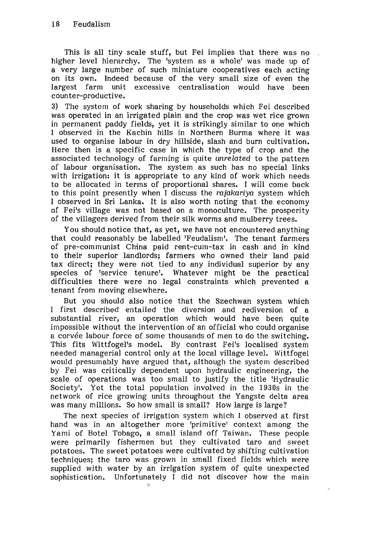This is all tiny scale stuff, but Fei implies that there was no higher level hierarchy. The 'system as a whole' was made up of a very large number of such miniature cooperatives each acting on its own. Indeed because of the very small size of even the largest farm unit excessive centralisation would have been counter-productive.

3) The system of work sharing by households which Fei described was operated in an irrigated plain and the crop was wet rice grown in permanent paddy fields, yet it is strikingly similar to one which I observed in the Kachin hills in Northern Burma where it was used to organise labour in dry hillside, slash and burn cultivation. Here then is a specific case in which the type of crop and the associated technology of farming is quite unrelated to the pattern of labour organisation. The system as such has no special links with irrigation: it is appropriate to any kind of work which needs to be allocated in terms of proportional shares. I will come back to this point presently when I discuss the rajakariya system which I observed in Sri Lanka. It is also worth noting that the economy of Fei's village was not based on a monoculture. The prosperity of the villagers derived from their silk worms and mulberry trees.

You should notice that, as yet, we have not encountered anything that could reasonably be labelled 'Feudalism'. The tenant farmers of pre-communist China paid rent-cum-tax in cash and in kind to their superior landlords; farmers who owned their land paid tax direct; they were not tied to any individual superior by any species of 'service tenure'. Whatever might be the practical difficulties there were no legal constraints which prevented a tenant from moving elsewhere.

But you should also notice that the Szechwan system which I first described entailed the diversion and rediversion of a substantial river, an operation which would have been quite impossible without the intervention of an official who could organise a corvée labour force of some thousands of men to do the switching. This fits Wittfogel's model. By contrast Fei's localised system needed managerial control only at the local village level. Wittfogel would presumably have argued that, although the system described by Fei was critically dependent upon hydraulic engineering, the scale of operations was too small to justify the title 'Hydraulic Society'. Yet the total population involved in the 1930s in the network of rice growing units throughout the Yangste delta area was many millions. So how small is small? How large is large?

The next species of irrigation system which I observed at first hand was in an altogether more 'primitive' context among the Yami of Botel Tobago, a small island off Taiwan. These people were primarily fishermen but they cultivated taro and sweet potatoes. The sweet potatoes were cultivated by shifting cultivation techniques; the taro was grown in small fixed fields which were supplied with water by an irrigation system of quite unexpected sophistication. Unfortunately I did not discover how the main

 $\pm 5$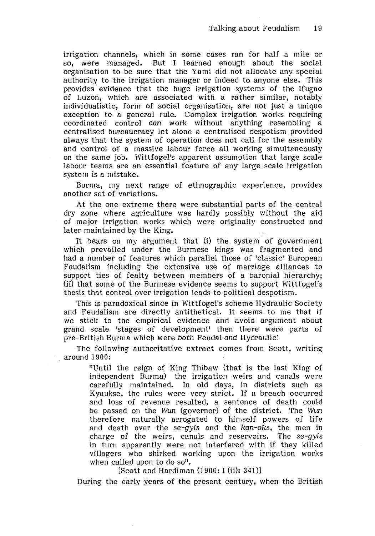irrigation channels, which in some cases ran for half a mile or so, were managed. But I learned enough about the social organisation to be sure that the Yami did not allocate any special authority to the irrigation manager or indeed to anyone else. This provides evidence that the huge irrigation systems of the Ifugao of Luzon, which are associated with a rather similar, notably individualistic, form of social organisation, are not just a unique exception to a general rule. Complex irrigation works requiring coordinated control can work without anything resembling a centralised bureaucracy let alone a centralised despotism provided always that the system of operation does not call for the assembly and control of a massive labour force all working simultaneously on the same job. Wittfogel's apparent assumption that large scale labour teams are an essential feature of any large scale irrigation system is a mistake.

Burma, my next range of ethnographic experience, provides another set of variations.

At the one extreme there were substantial parts of the central dry zone where agriculture was hardly possibly without the aid of major irrigation works which were originally constructed and later maintained by the King.

It bears on my argument that (i) the system of government which prevailed under the Burmese kings was fragmented and had a number of features which parallel those of 'classic' European Feudalism including the extensive use of marriage alliances to support ties of fealty between members of a baronial hierarchy; (ii) that some of the Burmese evidence seems to support Wittfogel's thesis that control over irrigation leads to political despotism.

This is paradoxical since in Wittfogel's scheme Hydraulic Society and Feudalism are directly antithetical. It seems to me that if we stick to the empirical evidence and avoid argument about grand scale 'stages of development' then there were parts of pre-British Burma which were both Feudal and Hydraulic!

The following authoritative extract comes from Scott, writing around 1900:

"Until the reign of King Thibaw (that is the last King of independent Burma) the irrigation weirs and canals were carefully maintained. In old days, in districts such as Kyaukse, the rules were very strict. If a breach occurred and loss of revenue resulted, a sentence of death could be passed on the Wun (governor) of the district. The Wun therefore naturally arrogated to himself powers of life and death over the *se-gyis* and the *kan-oks,* the men in charge of the weirs, canals and reservoirs. The *se-gyis*  in turn apparently were not interfered with if they killed villagers who shirked working upon the irrigation works when called upon to do so".

[Scott and Hardiman (1900: I (ii): 341)]

During the early years of the present century, when the British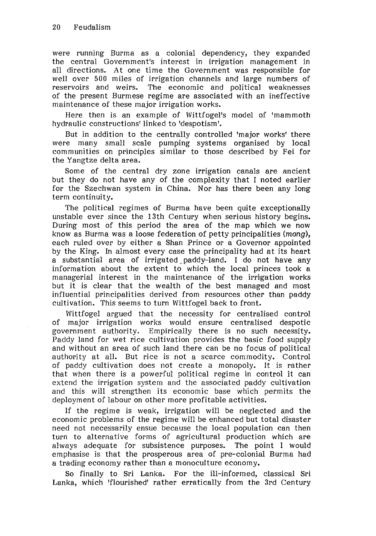were running Burma as a colonial dependency, they expanded the central Government's interest in irrigation management in all directions. At one time the Government was responsible for well over 500 miles of irrigation channels and large numbers of reservoirs and weirs. The economic and political weaknesses of the present Burmese regime are associated with an ineffective maintenance of these major irrigation works.

Here then is an example of Wittfogel's model of 'mammoth hydraulic constructions' linked to 'despotism'.

But in addition to the centrally controlled 'major works' there were many small scale pumping systems organised by local communities on principles similar to those described by Fei for the Yangtze delta area.

Some of the central dry zone irrigation canals are ancient but they do not have any of the complexity that I noted earlier for the Szechwan system in China. Nor has there been any long term continuity.

The political regimes of Burma have been quite exceptionally unstable ever since the 13th Century when serious history begins. During most of this period the area of the map which we now know as Burma was a loose federation of petty principalities (mong), each ruled over by either a Shan Prince or a Governor appointed by the King. In almost every case the principality had at its heart a substantial area of irrigated paddy-land. I do not have any information about the extent to which the local princes took a managerial interest in the maintenance of the irrigation works but it is clear that the wealth of the best managed and most influential principalities derived from resources other than paddy cultivation. This seems to turn Wittfogel back to front.

Wittfogel argued that the necessity for centralised control of major irrigation works would ensure centralised despotic government authority. Empirically there is no such necessity. Paddy land for wet rice cultivation provides the basic food supply and without an area of such land there can be no focus of political authority at all. But rice is not a scarce commodity. Control of paddy cultivation does not create a monopoly. It is rather that when there is a powerful political regime in control it can extend the irrigation system and the associated paddy cultivation and this will strengthen its economic base which permits the deployment of labour on other more profitable activities.

lf the regime is weak, irrigation will be neglected and the economic problems of the regime will be enhanced but total disaster need not necessarily ensue because the local population can then turn to alternative forms of agricultural production which are always adequate for subsistence purposes. The point l would emphasise is that the prosperous area of pre-colonial Burma had a trading economy rather than a monoculture economy.

So finally to Sri Lanka. For the ill-informed, classical Sri Lanka, which 'flourished' rather erratically from the 3rd Century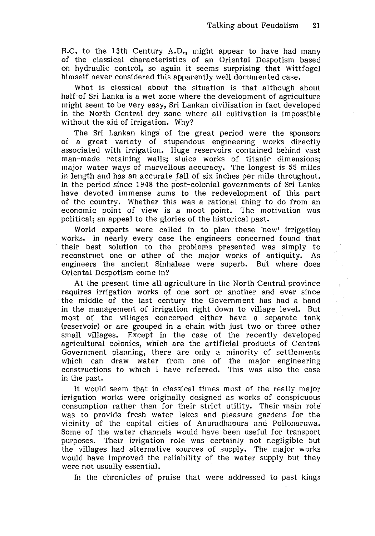B.C. to the 13th Century A.D., might appear to have had many of the classical characteristics of an Oriental Despotism based on hydraulic control, so again it seems surprising that Wittfogel himself never considered this apparently well documented case.

What is classical about the situation is that although about half of Sri Lanka is a wet zone where the development of agriculture might seem to be very easy, Sri Lankan civilisation in fact developed in the North Central dry zone where all cultivation is impossible without the aid of irrigation. Why?

The Sri Lankan kings of the great period were the sponsors of a great variety of stupendous engineering works directly associated with irrigation. Huge reservoirs contained behind vast man-made retaining walls; sluice works of titanic dimensions; major water ways of marvellous accuracy. The longest is 55 miles in length and has an accurate fall of six inches per mile throughout. In the period since 1948 the post-colonial governments of Sri Lanka have devoted immense sums to the redevelopment of this part of the country. Whether this was a rational thing to do from an economic point of view is a moot point. The motivation was political; an appeal to the glories of the historical past.

World experts were called in to plan these 'new' irrigation works. In nearly every case the engineers concerned found that their best solution to the problems presented was simply to reconstruct one or other of the major works of antiquity. As engineers the ancient Sinhalese were superb. But where does Oriental Despotism come in?

At the present time all agriculture in the North Central province requires irrigation works of one sort or another and ever since ·the middle of the last century the Government has had a hand in the management of irrigation right down to village level. But most of the villages concerned either have a separate tank (reservoir) or are grouped in a chain with just two or three other small villages. Except in the case of the recently developed agricultural colonies, which are the artificial products of Central Government planning, there are only a minority of settlements which can draw water from one of the major engineering constructions to which I have referred. This was also the case in the past.

It would seem that in classical times most of the really major irrigation works were originally designed as works of conspicuous consumption rather than for their strict utility. Their main role was to provide fresh water lakes and pleasure gardens for the vicinity of the capital cities of Anuradhapura and Pollonaruwa. Some of the water channels would have been useful for transport purposes. Their irrigation role was certainly not negligible but the villages had alternative sources of supply. The major works would have improved the reliability of the water supply but they were not usually essential.

In the chronicles of praise that were addressed to past kings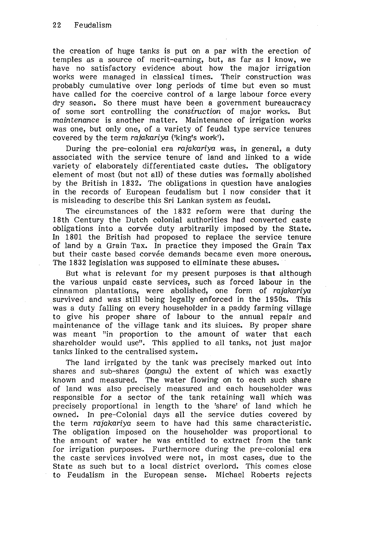the creation of huge tanks is put on a par with the erection of temples as a source of merit-earning, but, as far as I know, we have no satisfactory evidence about how the major irrigation works were managed in classical times. Their construction was probably cumulative over long periods of time but even so must have called for the coercive control of a large labour force every dry season. So there must have been a government bureaucracy of some sort controlling the construction of major works. But of some sort controlling the construction of major works. maintenance is another matter. Maintenance of irrigation works was one, but only one, of a variety of feudal type service tenures covered by the term rajakariya ('king's work').

During the pre-colonial era rajakariya was, in general, a duty associated with the service tenure of land and linked to a wide variety of elaborately differentiated caste duties. The obligatory element of most (but not all) of these duties was formally abolished by the British in 1832. The obligations in question have analogies in the records of European feudalism but I now consider that it is misleading to describe this Sri Lankan system as feudal.

The circumstances of the 1832 reform were that during the 18th Century the Dutch colonial authorities had converted caste obligations into a corvée duty arbitrarily imposed by the State. In 1801 the British had proposed to replace the service tenure of land by a Grain Tax. In practice they imposed the Grain Tax but their caste based corvée demands became even more onerous. The 1832 legislation was supposed to eliminate these abuses.

But what is relevant for my present purposes is that although the various unpaid caste services, such as forced labour in the cinnamon plantations, were abolished, one form of rajakariya survived and was still being legally enforced in the 1950s. This was a duty falling on every householder in a paddy farming village to give his proper share of labour to the annual repair and maintenance of the village tank and its sluices. By proper share was meant "in proportion to the amount of water that each shareholder would use". This applied to all tanks, not just major tanks linked to the centralised system.

The land irrigated by the tank was precisely marked out into shares and sub-shares (pangu) the extent of which was exactly known and measured. The water flowing on to each such share of land was also precisely measured and each householder was responsible for a sector of the tank retaining wall which was precisely proportional in length to the 'share' of land which he owned. In pre-Colonial days all the service duties covered by the term rajakariya seem to have had this same characteristic. The obligation imposed on the householder was proportional to the amount of water he was entitled to extract from the tank for irrigation purposes. Furthermore during the pre-colonial era the caste services involved were not, in most cases, due to the State as such but to a local district overlord. This comes close to Feudalism in the European sense. Michael Roberts rejects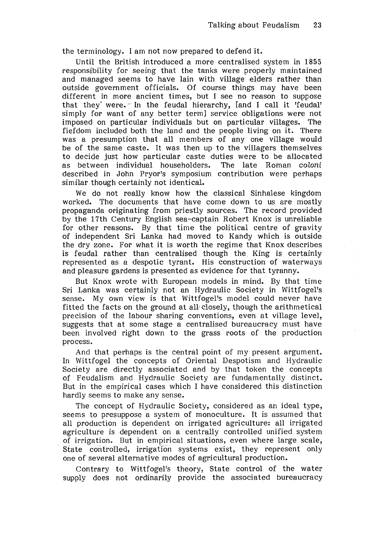the terminology. I am not now prepared to defend it.

Until the British introduced a more centralised system in 1855 responsibility for seeing that the tanks were properly maintained and managed seems to have lain with village elders rather than outside government officials. Of course things may have been different in more ancient times, but I see no reason to suppose that they were. In the feudal hierarchy, [and I call it 'feudal' simply for want of any better term] service obligations were not imposed on particular individuals but on particular villages. The fiefdom included both the land and the people living on it. There was a presumption that all members of any one village would be of the same caste. It was then up to the villagers themselves to decide just how particular caste duties were to be allocated as between individual householders. The late Roman coloni described in John Pryor's symposium contribution were perhaps similar though certainly not identical.

We do not really know how the classical Sinhalese kingdom worked. The documents that have come down to us are mostly propaganda originating from priestly sources. The record provided by the 17th Century English sea-captain Robert Knox is unreliable for other reasons. By that time the political centre of gravity of independent Sri Lanka had moved to Kandy which is outside the dry zone. For what it is worth the regime that Knox describes is feudal rather than centralised though the King is certainly represented as a despotic tyrant. His construction of waterways and pleasure gardens is presented as evidence for that tyranny.

But Knox wrote with European models in mind. By that time Sri Lanka was certainly not an Hydraulic Society in Wittfogel's sense. My own view is that Wittfogel's model could never have fitted the facts on the ground at aU· closely, though the arithmetical precision of the labour sharing conventions, even at village level, suggests that at some stage a centralised bureaucracy must have been involved right down to the grass roots of the production process.

And that perhaps is the central point of my present argument. In Wittfogel the concepts of Oriental Despotism and Hydraulic Society are directly associated and by that token the concepts of Feudalism and Hydraulic Society are fundamentally distinct. But in the empirical cases which I have considered this distinction hardly seems to make any sense.

The concept of Hydraulic Society, considered as an ideal type, seems to presuppose a system of monoculture. It is assumed that all production is dependent on irrigated agriculture: all irrigated agriculture is dependent on a centrally controlled unified system of irrigation. But in empirical situations, even where large scale, State controlled, irrigation systems exist, they represent only one of several alternative modes of agricultural production.

Contrary to Wittfogel's theory, State control of the water supply does not ordinarily provide the associated bureaucracy